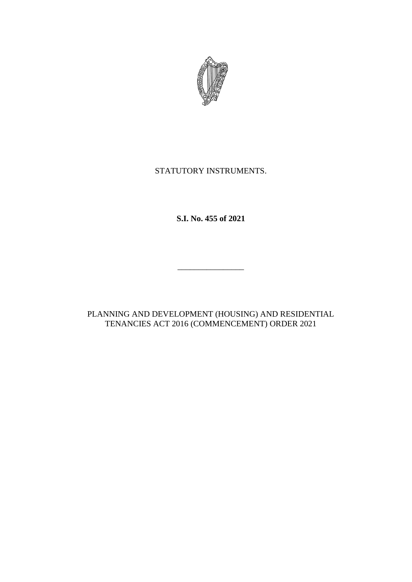

# STATUTORY INSTRUMENTS.

**S.I. No. 455 of 2021**

\_\_\_\_\_\_\_\_\_\_\_\_\_\_\_\_

PLANNING AND DEVELOPMENT (HOUSING) AND RESIDENTIAL TENANCIES ACT 2016 (COMMENCEMENT) ORDER 2021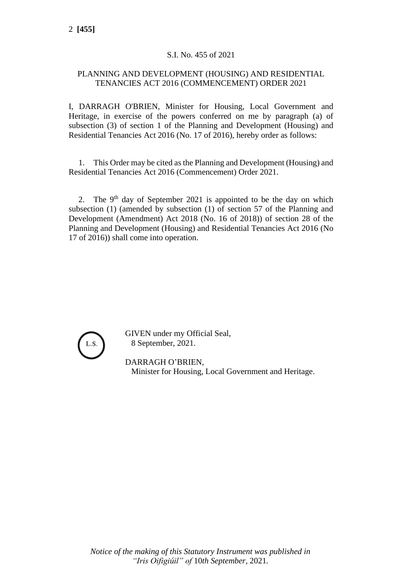## S.I. No. 455 of 2021

### PLANNING AND DEVELOPMENT (HOUSING) AND RESIDENTIAL TENANCIES ACT 2016 (COMMENCEMENT) ORDER 2021

I, DARRAGH O'BRIEN, Minister for Housing, Local Government and Heritage, in exercise of the powers conferred on me by paragraph (a) of subsection (3) of section 1 of the Planning and Development (Housing) and Residential Tenancies Act 2016 (No. 17 of 2016), hereby order as follows:

1. This Order may be cited as the Planning and Development (Housing) and Residential Tenancies Act 2016 (Commencement) Order 2021.

2. The  $9<sup>th</sup>$  day of September 2021 is appointed to be the day on which subsection (1) (amended by subsection (1) of section 57 of the Planning and Development (Amendment) Act 2018 (No. 16 of 2018)) of section 28 of the Planning and Development (Housing) and Residential Tenancies Act 2016 (No 17 of 2016)) shall come into operation.



GIVEN under my Official Seal, 8 September, 2021.

DARRAGH O'BRIEN, Minister for Housing, Local Government and Heritage.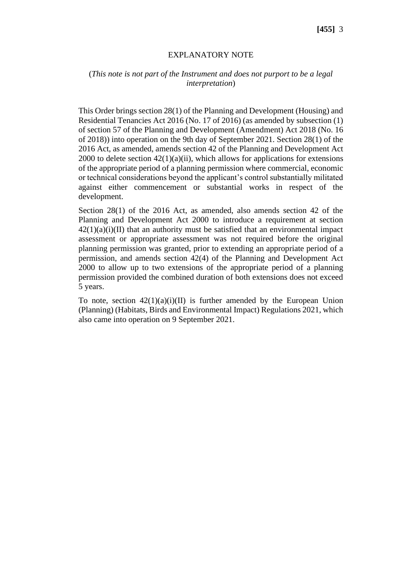#### EXPLANATORY NOTE

#### (*This note is not part of the Instrument and does not purport to be a legal interpretation*)

This Order brings section 28(1) of the Planning and Development (Housing) and Residential Tenancies Act 2016 (No. 17 of 2016) (as amended by subsection (1) of section 57 of the Planning and Development (Amendment) Act 2018 (No. 16 of 2018)) into operation on the 9th day of September 2021. Section 28(1) of the 2016 Act, as amended, amends section 42 of the Planning and Development Act 2000 to delete section  $42(1)(a)(ii)$ , which allows for applications for extensions of the appropriate period of a planning permission where commercial, economic or technical considerations beyond the applicant's control substantially militated against either commencement or substantial works in respect of the development.

Section 28(1) of the 2016 Act, as amended, also amends section 42 of the Planning and Development Act 2000 to introduce a requirement at section  $42(1)(a)(i)(II)$  that an authority must be satisfied that an environmental impact assessment or appropriate assessment was not required before the original planning permission was granted, prior to extending an appropriate period of a permission, and amends section 42(4) of the Planning and Development Act 2000 to allow up to two extensions of the appropriate period of a planning permission provided the combined duration of both extensions does not exceed 5 years.

To note, section  $42(1)(a)(i)(II)$  is further amended by the European Union (Planning) (Habitats, Birds and Environmental Impact) Regulations 2021, which also came into operation on 9 September 2021.